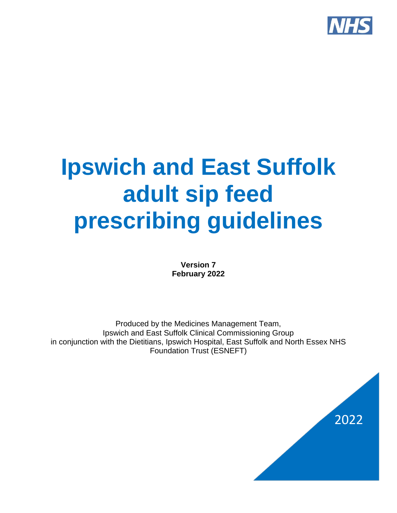

# **Ipswich and East Suffolk adult sip feed prescribing guidelines**

**Version 7 February 2022**

Produced by the Medicines Management Team, Ipswich and East Suffolk Clinical Commissioning Group in conjunction with the Dietitians, Ipswich Hospital, East Suffolk and North Essex NHS Foundation Trust (ESNEFT)

2022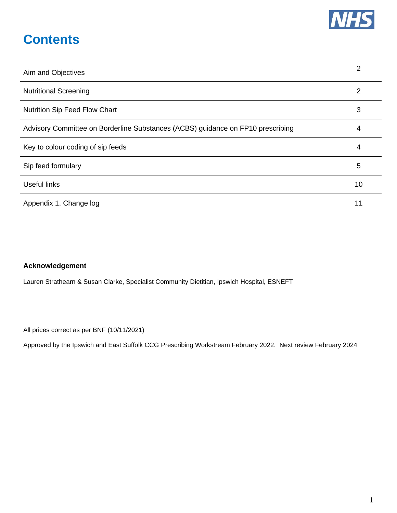

### **Contents**

| Aim and Objectives                                                              | 2  |
|---------------------------------------------------------------------------------|----|
| <b>Nutritional Screening</b>                                                    | 2  |
| <b>Nutrition Sip Feed Flow Chart</b>                                            | 3  |
| Advisory Committee on Borderline Substances (ACBS) guidance on FP10 prescribing | 4  |
| Key to colour coding of sip feeds                                               | 4  |
| Sip feed formulary                                                              | 5  |
| <b>Useful links</b>                                                             | 10 |
| Appendix 1. Change log                                                          | 11 |

#### **Acknowledgement**

Lauren Strathearn & Susan Clarke, Specialist Community Dietitian, Ipswich Hospital, ESNEFT

All prices correct as per BNF (10/11/2021)

Approved by the Ipswich and East Suffolk CCG Prescribing Workstream February 2022. Next review February 2024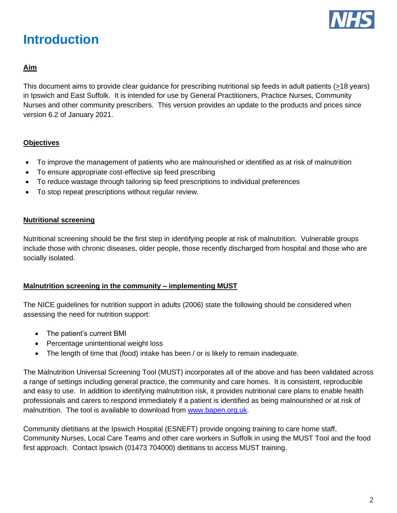

### **Introduction**

#### **Aim**

This document aims to provide clear guidance for prescribing nutritional sip feeds in adult patients (>18 years) in Ipswich and East Suffolk. It is intended for use by General Practitioners, Practice Nurses, Community Nurses and other community prescribers. This version provides an update to the products and prices since version 6.2 of January 2021.

#### **Objectives**

- To improve the management of patients who are malnourished or identified as at risk of malnutrition
- To ensure appropriate cost-effective sip feed prescribing
- To reduce wastage through tailoring sip feed prescriptions to individual preferences
- To stop repeat prescriptions without regular review.

#### **Nutritional screening**

Nutritional screening should be the first step in identifying people at risk of malnutrition. Vulnerable groups include those with chronic diseases, older people, those recently discharged from hospital and those who are socially isolated.

#### **Malnutrition screening in the community – implementing MUST**

The NICE guidelines for nutrition support in adults (2006) state the following should be considered when assessing the need for nutrition support:

- The patient's current BMI
- Percentage unintentional weight loss
- The length of time that (food) intake has been / or is likely to remain inadequate.

The Malnutrition Universal Screening Tool (MUST) incorporates all of the above and has been validated across a range of settings including general practice, the community and care homes. It is consistent, reproducible and easy to use. In addition to identifying malnutrition risk, it provides nutritional care plans to enable health professionals and carers to respond immediately if a patient is identified as being malnourished or at risk of malnutrition. The tool is available to download from [www.bapen.org.uk.](http://www.bapen.org.uk/)

Community dietitians at the Ipswich Hospital (ESNEFT) provide ongoing training to care home staff, Community Nurses, Local Care Teams and other care workers in Suffolk in using the MUST Tool and the food first approach. Contact Ipswich (01473 704000) dietitians to access MUST training.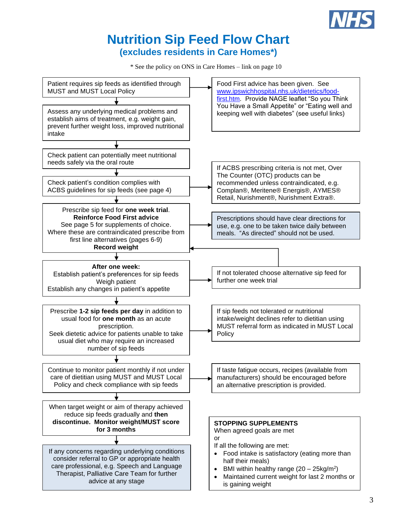

### **Nutrition Sip Feed Flow Chart (excludes residents in Care Homes\*)**

\* See the policy on ONS in Care Homes – link on page 10

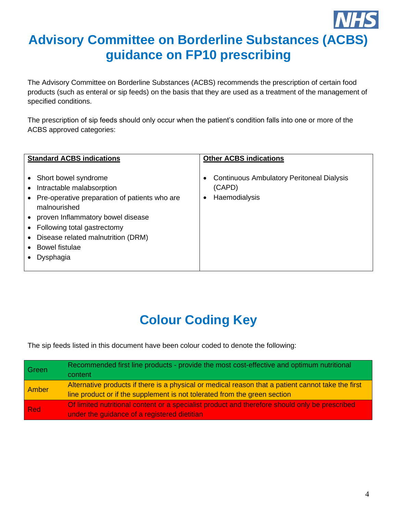## **Advisory Committee on Borderline Substances (ACBS) guidance on FP10 prescribing**

The Advisory Committee on Borderline Substances (ACBS) recommends the prescription of certain food products (such as enteral or sip feeds) on the basis that they are used as a treatment of the management of specified conditions.

The prescription of sip feeds should only occur when the patient's condition falls into one or more of the ACBS approved categories:

| <b>Standard ACBS indications</b>                                                                                                                                                                                                                                   | <b>Other ACBS indications</b>                                                    |
|--------------------------------------------------------------------------------------------------------------------------------------------------------------------------------------------------------------------------------------------------------------------|----------------------------------------------------------------------------------|
| Short bowel syndrome<br>Intractable malabsorption<br>Pre-operative preparation of patients who are<br>malnourished<br>proven Inflammatory bowel disease<br>Following total gastrectomy<br>Disease related malnutrition (DRM)<br><b>Bowel fistulae</b><br>Dysphagia | <b>Continuous Ambulatory Peritoneal Dialysis</b><br>(CAPD)<br>Haemodialysis<br>٠ |

# **Colour Coding Key**

The sip feeds listed in this document have been colour coded to denote the following:

| Green | Recommended first line products - provide the most cost-effective and optimum nutritional<br>content                                                                            |
|-------|---------------------------------------------------------------------------------------------------------------------------------------------------------------------------------|
| Amber | Alternative products if there is a physical or medical reason that a patient cannot take the first<br>line product or if the supplement is not tolerated from the green section |
| Red   | Of limited nutritional content or a specialist product and therefore should only be prescribed<br>under the guidance of a registered dietitian                                  |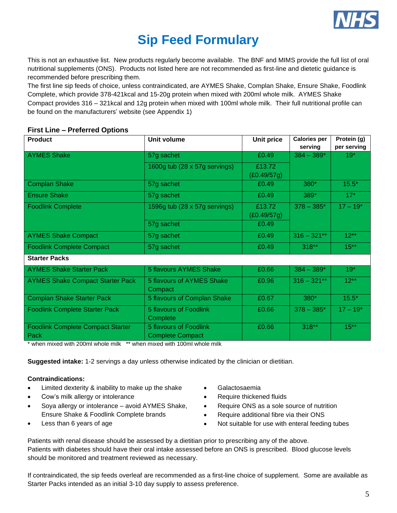

### **Sip Feed Formulary**

This is not an exhaustive list. New products regularly become available. The BNF and MIMS provide the full list of oral nutritional supplements (ONS). Products not listed here are not recommended as first-line and dietetic guidance is recommended before prescribing them.

The first line sip feeds of choice, unless contraindicated, are AYMES Shake, Complan Shake, Ensure Shake, Foodlink Complete, which provide 378-421kcal and 15-20g protein when mixed with 200ml whole milk. AYMES Shake Compact provides 316 – 321kcal and 12g protein when mixed with 100ml whole milk. Their full nutritional profile can be found on the manufacturers' website (see Appendix 1)

#### **First Line – Preferred Options**

| <b>Product</b>                                   | <b>Unit volume</b>                                | <b>Unit price</b>     | <b>Calories per</b><br>serving | Protein (g)<br>per serving |
|--------------------------------------------------|---------------------------------------------------|-----------------------|--------------------------------|----------------------------|
| <b>AYMES Shake</b>                               | 57g sachet                                        | £0.49                 | $384 - 389*$                   | $19*$                      |
|                                                  | 1600g tub (28 x 57g servings)                     | £13.72<br>(E0.49/57g) |                                |                            |
| <b>Complan Shake</b>                             | 57g sachet                                        | £0.49                 | 380*                           | $15.5*$                    |
| <b>Ensure Shake</b>                              | 57g sachet                                        | £0.49                 | $389*$                         | $17*$                      |
| <b>Foodlink Complete</b>                         | 1596g tub (28 x 57g servings)                     | £13.72<br>(E0.49/57g) | $378 - 385*$                   | $17 - 19*$                 |
|                                                  | 57g sachet                                        | £0.49                 |                                |                            |
| <b>AYMES Shake Compact</b>                       | 57g sachet                                        | £0.49                 | $316 - 321**$                  | $12***$                    |
| <b>Foodlink Complete Compact</b>                 | 57g sachet                                        | £0.49                 | $318**$                        | $15***$                    |
| <b>Starter Packs</b>                             |                                                   |                       |                                |                            |
| <b>AYMES Shake Starter Pack</b>                  | 5 flavours AYMES Shake                            | £0.66                 | $384 - 389*$                   | $19*$                      |
| <b>AYMES Shake Compact Starter Pack</b>          | 5 flavours of AYMES Shake<br>Compact              | £0.96                 | $316 - 321**$                  | $12**$                     |
| <b>Complan Shake Starter Pack</b>                | 5 flavours of Complan Shake                       | £0.67                 | $380*$                         | $15.5*$                    |
| <b>Foodlink Complete Starter Pack</b>            | 5 flavours of Foodlink<br>Complete                | £0.66                 | $378 - 385*$                   | $17 - 19*$                 |
| <b>Foodlink Complete Compact Starter</b><br>Pack | 5 flavours of Foodlink<br><b>Complete Compact</b> | £0.66                 | $318**$                        | $15***$                    |

\* when mixed with 200ml whole milk \*\* when mixed with 100ml whole milk

**Suggested intake:** 1-2 servings a day unless otherwise indicated by the clinician or dietitian.

#### **Contraindications:**

- Limited dexterity & inability to make up the shake
- Cow's milk allergy or intolerance
- Soya allergy or intolerance avoid AYMES Shake, Ensure Shake & Foodlink Complete brands
- Less than 6 years of age
- Galactosaemia
- Require thickened fluids
- Require ONS as a sole source of nutrition
- Require additional fibre via their ONS
- Not suitable for use with enteral feeding tubes

Patients with renal disease should be assessed by a dietitian prior to prescribing any of the above. Patients with diabetes should have their oral intake assessed before an ONS is prescribed. Blood glucose levels should be monitored and treatment reviewed as necessary.

If contraindicated, the sip feeds overleaf are recommended as a first-line choice of supplement. Some are available as Starter Packs intended as an initial 3-10 day supply to assess preference.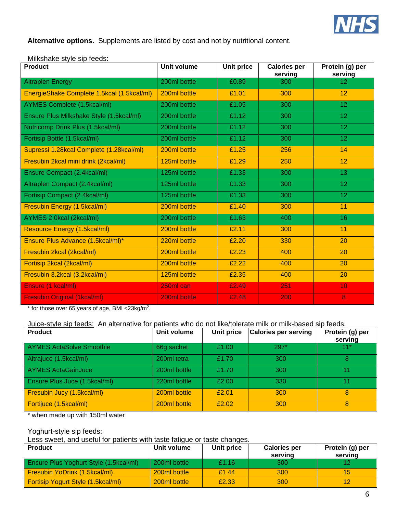

**Alternative options.** Supplements are listed by cost and not by nutritional content.

| Milkshake style sip feeds: |
|----------------------------|
|----------------------------|

| <b>Product</b>                             | <b>Unit volume</b> | Unit price | <b>Calories per</b><br>serving | Protein (g) per<br>serving |
|--------------------------------------------|--------------------|------------|--------------------------------|----------------------------|
| <b>Altraplen Energy</b>                    | 200ml bottle       | £0.89      | 300                            | 12 <sub>2</sub>            |
| EnergieShake Complete 1.5kcal (1.5kcal/ml) | 200ml bottle       | £1.01      | 300                            | 12                         |
| AYMES Complete (1.5kcal/ml)                | 200ml bottle       | £1.05      | 300                            | 12 <sub>2</sub>            |
| Ensure Plus Milkshake Style (1.5kcal/ml)   | 200ml bottle       | £1.12      | 300                            | 12 <sub>2</sub>            |
| Nutricomp Drink Plus (1.5kcal/ml)          | 200ml bottle       | £1.12      | 300                            | 12 <sub>2</sub>            |
| Fortisip Bottle (1.5kcal/ml)               | 200ml bottle       | £1.12      | 300                            | 12 <sub>2</sub>            |
| Supressi 1.28kcal Complete (1.28kcal/ml)   | 200ml bottle       | £1.25      | 256                            | 14                         |
| Fresubin 2kcal mini drink (2kcal/ml)       | 125ml bottle       | £1.29      | 250                            | 12                         |
| Ensure Compact (2.4kcal/ml)                | 125ml bottle       | £1.33      | 300                            | 13                         |
| Altraplen Compact (2.4kcal/ml)             | 125ml bottle       | £1.33      | 300                            | 12                         |
| Fortisip Compact (2.4kcal/ml)              | 125ml bottle       | £1.33      | 300                            | 12 <sub>2</sub>            |
| <b>Fresubin Energy (1.5kcal/ml)</b>        | 200ml bottle       | £1.40      | 300                            | 11                         |
| AYMES 2.0kcal (2kcal/ml)                   | 200ml bottle       | £1.63      | 400                            | 16                         |
| Resource Energy (1.5kcal/ml)               | 200ml bottle       | £2.11      | 300                            | 11                         |
| Ensure Plus Advance (1.5kcal/ml)*          | 220ml bottle       | £2.20      | 330                            | 20                         |
| Fresubin 2kcal (2kcal/ml)                  | 200ml bottle       | £2.23      | 400                            | 20                         |
| Fortisip 2kcal (2kcal/ml)                  | 200ml bottle       | £2.22      | 400                            | 20                         |
| Fresubin 3.2kcal (3.2kcal/ml)              | 125ml bottle       | £2.35      | 400                            | 20                         |
| Ensure (1 kcal/ml)                         | 250ml can          | £2.49      | 251                            | 10                         |
| <b>Fresubin Original (1kcal/ml)</b>        | 200ml bottle       | £2.48      | 200                            | 8                          |

 $*$  for those over 65 years of age, BMI <23kg/m<sup>2</sup>.

Juice-style sip feeds: An alternative for patients who do not like/tolerate milk or milk-based sip feeds.

| <b>Product</b>                       | Unit volume  | Unit price | <b>Calories per serving</b> | Protein (g) per<br>serving |
|--------------------------------------|--------------|------------|-----------------------------|----------------------------|
| <b>AYMES ActaSolve Smoothie</b>      | 66g sachet   | £1.00      | $297*$                      | $11*$                      |
| Altrajuce (1.5kcal/ml)               | 200ml tetra  | £1.70      | 300                         | 8                          |
| <b>AYMES ActaGainJuce</b>            | 200ml bottle | £1.70      | 300                         | 11                         |
| <b>Ensure Plus Juce (1.5kcal/ml)</b> | 220ml bottle | £2.00      | 330                         | 11                         |
| Fresubin Jucy (1.5kcal/ml)           | 200ml bottle | £2.01      | 300                         | 8                          |
| Fortijuce (1.5kcal/ml)               | 200ml bottle | £2.02      | 300                         | 8                          |

\* when made up with 150ml water

#### Yoghurt-style sip feeds:

Less sweet, and useful for patients with taste fatigue or taste changes.

| <b>Product</b>                                | Unit volume  | Unit price | <b>Calories per</b><br>serving | Protein (g) per<br>serving |
|-----------------------------------------------|--------------|------------|--------------------------------|----------------------------|
| <b>Ensure Plus Yoghurt Style (1.5kcal/ml)</b> | 200ml bottle | £1.16      | 300                            |                            |
| Fresubin YoDrink (1.5kcal/ml)                 | 200ml bottle | £1.44      | 300                            | 15                         |
| <b>Fortisip Yogurt Style (1.5kcal/ml)</b>     | 200ml bottle | £2.33      | 300                            |                            |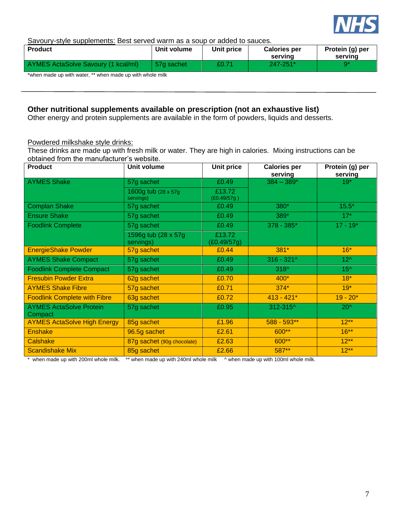

#### Savoury-style supplements: Best served warm as a soup or added to sauces.

| <b>Product</b>                                                                   | Unit volume | Unit price | <b>Calories per</b><br>serving | Protein (g) per<br>serving |
|----------------------------------------------------------------------------------|-------------|------------|--------------------------------|----------------------------|
| AYMES ActaSolve Savoury (1 kcal/ml)                                              | 57a sachet  | £0.71      | 247-251*                       |                            |
| اللاحقان المتحامين المشارع المتحدث المتحام المتحدث والمستحدث والمستحدث والمستحدث |             |            |                                |                            |

\*when made up with water, \*\* when made up with whole milk

#### **Other nutritional supplements available on prescription (not an exhaustive list)**

Other energy and protein supplements are available in the form of powders, liquids and desserts.

#### Powdered milkshake style drinks:

These drinks are made up with fresh milk or water. They are high in calories. Mixing instructions can be obtained from the manufacturer's website.

| <b>Product</b>                            | Unit volume                       | <b>Unit price</b>     | <b>Calories per</b><br>serving | Protein (g) per<br>serving |
|-------------------------------------------|-----------------------------------|-----------------------|--------------------------------|----------------------------|
| <b>AYMES Shake</b>                        | 57g sachet                        | £0.49                 | $384 - 389*$                   | $19*$                      |
|                                           | 1600g tub (28 x 57g)<br>servings) | £13.72<br>(E0.49/57g) |                                |                            |
| <b>Complan Shake</b>                      | 57g sachet                        | £0.49                 | 380*                           | $15.5*$                    |
| <b>Ensure Shake</b>                       | 57g sachet                        | £0.49                 | 389*                           | $17*$                      |
| <b>Foodlink Complete</b>                  | 57g sachet                        | £0.49                 | 378 - 385*                     | $17 - 19*$                 |
|                                           | 1596g tub (28 x 57g)<br>servings) | £13.72<br>(E0.49/57g) |                                |                            |
| <b>EnergieShake Powder</b>                | 57g sachet                        | £0.44                 | $381*$                         | $16*$                      |
| <b>AYMES Shake Compact</b>                | 57g sachet                        | £0.49                 | $316 - 321$ ^                  | $12^$                      |
| <b>Foodlink Complete Compact</b>          | 57g sachet                        | £0.49                 | $318^$                         | $15^$                      |
| <b>Fresubin Powder Extra</b>              | 62g sachet                        | £0.70                 | $400*$                         | $18*$                      |
| <b>AYMES Shake Fibre</b>                  | 57g sachet                        | £0.71                 | $374*$                         | $19*$                      |
| <b>Foodlink Complete with Fibre</b>       | 63g sachet                        | £0.72                 | $413 - 421*$                   | $19 - 20*$                 |
| <b>AYMES ActaSolve Protein</b><br>Compact | 57g sachet                        | £0.95                 | 312-315^                       | $20^{\circ}$               |
| <b>AYMES ActaSolve High Energy</b>        | 85g sachet                        | £1.96                 | 588 - 593**                    | $12**$                     |
| <b>Enshake</b>                            | 96.5g sachet                      | £2.61                 | 600**                          | $16***$                    |
| Calshake                                  | 87g sachet (90g chocolate)        | £2.63                 | 600**                          | $12**$                     |
| <b>Scandishake Mix</b>                    | 85g sachet                        | £2.66                 | 587**                          | $12**$                     |

when made up with 200ml whole milk. \*\* when made up with 240ml whole milk ^ when made up with 100ml whole milk.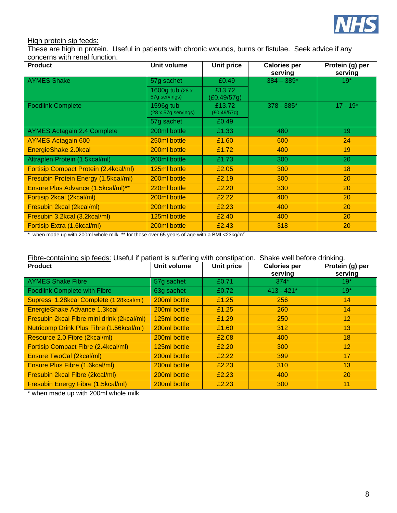

#### High protein sip feeds:

These are high in protein. Useful in patients with chronic wounds, burns or fistulae. Seek advice if any concerns with renal function.

| <b>Product</b>                               | Unit volume                       | Unit price            | <b>Calories per</b><br>serving | Protein (g) per<br>serving |
|----------------------------------------------|-----------------------------------|-----------------------|--------------------------------|----------------------------|
| <b>AYMES Shake</b>                           | 57g sachet                        | £0.49                 | $384 - 389*$                   | $19*$                      |
|                                              | 1600g tub (28 x)<br>57g servings) | £13.72<br>(£0.49/57g) |                                |                            |
| <b>Foodlink Complete</b>                     | 1596g tub<br>(28 x 57g servings)  | £13.72<br>(E0.49/57g) | $378 - 385*$                   | $17 - 19*$                 |
|                                              | 57g sachet                        | £0.49                 |                                |                            |
| <b>AYMES Actagain 2.4 Complete</b>           | 200ml bottle                      | £1.33                 | 480                            | 19                         |
| <b>AYMES Actagain 600</b>                    | 250ml bottle                      | £1.60                 | 600                            | 24                         |
| EnergieShake 2.0kcal                         | 200ml bottle                      | £1.72                 | 400                            | 19                         |
| Altraplen Protein (1.5kcal/ml)               | 200ml bottle                      | £1.73                 | 300                            | 20                         |
| <b>Fortisip Compact Protein (2.4kcal/ml)</b> | 125ml bottle                      | £2.05                 | 300                            | 18                         |
| Fresubin Protein Energy (1.5kcal/ml)         | 200ml bottle                      | £2.19                 | 300                            | 20                         |
| Ensure Plus Advance (1.5kcal/ml)**           | 220ml bottle                      | £2.20                 | 330                            | 20                         |
| Fortisip 2kcal (2kcal/ml)                    | 200ml bottle                      | £2.22                 | 400                            | 20                         |
| Fresubin 2kcal (2kcal/ml)                    | 200ml bottle                      | £2.23                 | 400                            | <b>20</b>                  |
| Fresubin 3.2kcal (3.2kcal/ml)                | 125ml bottle                      | £2.40                 | 400                            | 20                         |
| Fortisip Extra (1.6kcal/ml)                  | 200ml bottle                      | £2.43                 | 318                            | 20                         |

\* when made up with 200ml whole milk \*\* for those over 65 years of age with a BMI <23kg/m<sup>2</sup>

#### Fibre-containing sip feeds: Useful if patient is suffering with constipation. Shake well before drinking.

| <b>Product</b>                                  | Unit volume  | Unit price | <b>Calories per</b><br>serving | Protein (g) per<br>serving |
|-------------------------------------------------|--------------|------------|--------------------------------|----------------------------|
| <b>AYMES Shake Fibre</b>                        | 57g sachet   | £0.71      | $374*$                         | $19*$                      |
| <b>Foodlink Complete with Fibre</b>             | 63g sachet   | £0.72      | $413 - 421*$                   | $19*$                      |
| Supressi 1.28kcal Complete (1.28kcal/ml)        | 200ml bottle | £1.25      | 256                            | 14                         |
| EnergieShake Advance 1.3kcal                    | 200ml bottle | £1.25      | 260                            | 14                         |
| Fresubin 2kcal Fibre mini drink (2kcal/ml)      | 125ml bottle | £1.29      | 250                            | 12 <sup>2</sup>            |
| <b>Nutricomp Drink Plus Fibre (1.56kcal/ml)</b> | 200ml bottle | £1.60      | 312                            | 13                         |
| Resource 2.0 Fibre (2kcal/ml)                   | 200ml bottle | £2.08      | 400                            | 18                         |
| Fortisip Compact Fibre (2.4kcal/ml)             | 125ml bottle | £2.20      | 300                            | 12 <sup>2</sup>            |
| <b>Ensure TwoCal (2kcal/ml)</b>                 | 200ml bottle | £2.22      | 399                            | 17                         |
| Ensure Plus Fibre (1.6kcal/ml)                  | 200ml bottle | £2.23      | 310                            | 13                         |
| Fresubin 2kcal Fibre (2kcal/ml)                 | 200ml bottle | £2.23      | 400                            | 20                         |
| Fresubin Energy Fibre (1.5kcal/ml)              | 200ml bottle | £2.23      | 300                            | 11                         |

\* when made up with 200ml whole milk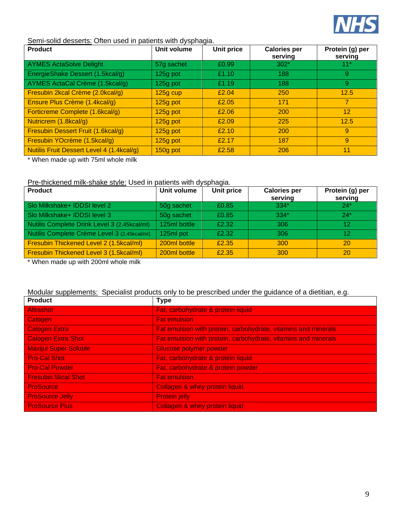

#### Semi-solid desserts: Often used in patients with dysphagia.

| <b>Product</b>                                   | Unit volume | Unit price | <b>Calories per</b><br>serving | Protein (g) per<br>serving |
|--------------------------------------------------|-------------|------------|--------------------------------|----------------------------|
| <b>AYMES ActaSolve Delight</b>                   | 57g sachet  | £0.99      | $302*$                         | $11*$                      |
| EnergieShake Dessert (1.5kcal/g)                 | 125g pot    | £1.10      | 188                            | 9                          |
| AYMES ActaCal Crème (1.5kcal/g)                  | 125g pot    | £1.19      | 188                            | 9                          |
| Fresubin 2kcal Crème (2.0kcal/g)                 | $125g$ cup  | £2.04      | 250                            | 12.5                       |
| Ensure Plus Crème (1.4kcal/g)                    | $125g$ pot  | £2.05      | 171                            | $\overline{7}$             |
| Forticreme Complete (1.6kcal/g)                  | 125g pot    | £2.06      | 200                            | $12 \overline{ }$          |
| Nutricrem (1.8kcal/g)                            | $125g$ pot  | £2.09      | 225                            | 12.5                       |
| <b>Fresubin Dessert Fruit (1.6kcal/g)</b>        | 125g pot    | £2.10      | 200                            | 9                          |
| Fresubin YOcrème (1.5kcal/g)                     | $125g$ pot  | £2.17      | 187                            | 9                          |
| <b>Nutilis Fruit Dessert Level 4 (1.4kcal/g)</b> | 150g pot    | £2.58      | 206                            | 11                         |

\* When made up with 75ml whole milk

#### Pre-thickened milk-shake style: Used in patients with dysphagia.

| <b>Product</b>                               | Unit volume  | Unit price | <b>Calories per</b> | Protein (g) per |
|----------------------------------------------|--------------|------------|---------------------|-----------------|
|                                              |              |            | serving             | serving         |
| Slo Milkshake+ IDDSI level 2                 | 50g sachet   | £0.85      | $334*$              | $24*$           |
| Slo Milkshake+ IDDSI level 3                 | 50g sachet   | £0.85      | $334*$              | $24*$           |
| Nutilis Complete Drink Level 3 (2.45kcal/ml) | 125ml bottle | £2.32      | 306                 | 12              |
| Nutilis Complete Crème Level 3 (2.45kcal/ml) | 125ml pot    | £2.32      | 306                 | 12              |
| Fresubin Thickened Level 2 (1.5kcal/ml)      | 200ml bottle | £2.35      | 300                 | <b>20</b>       |
| Fresubin Thickened Level 3 (1.5kcal/ml)      | 200ml bottle | £2.35      | 300                 | <b>20</b>       |

\* When made up with 200ml whole milk

#### Modular supplements: Specialist products only to be prescribed under the guidance of a dietitian, e.g.

| <b>Product</b>               | <b>Type</b>                                                    |
|------------------------------|----------------------------------------------------------------|
| <b>Altrashot</b>             | Fat, carbohydrate & protein liquid                             |
| Calogen                      | <b>Fat emulsion</b>                                            |
| <b>Calogen Extra</b>         | Fat emulsion with protein, carbohydrate, vitamins and minerals |
| <b>Calogen Extra Shot</b>    | Fat emulsion with protein, carbohydrate, vitamins and minerals |
| <b>Maxijul Super Soluble</b> | <b>Glucose polymer powder</b>                                  |
| <b>Pro-Cal Shot</b>          | Fat, carbohydrate & protein liquid                             |
| <b>Pro-Cal Powder</b>        | Fat, carbohydrate & protein powder                             |
| <b>Fresubin 5kcal Shot</b>   | <b>Fat emulsion</b>                                            |
| <b>ProSource</b>             | Collagen & whey protein liquid                                 |
| <b>ProSource Jelly</b>       | <b>Protein jelly</b>                                           |
| <b>ProSource Plus</b>        | Collagen & whey protein liquid                                 |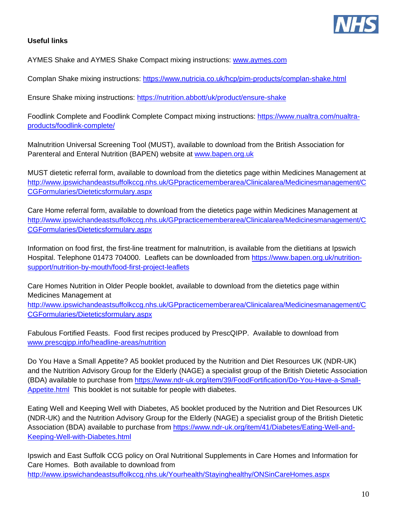

#### **Useful links**

AYMES Shake and AYMES Shake Compact mixing instructions: [www.aymes.com](http://www.aymes.com/)

Complan Shake mixing instructions:<https://www.nutricia.co.uk/hcp/pim-products/complan-shake.html>

Ensure Shake mixing instructions:<https://nutrition.abbott/uk/product/ensure-shake>

Foodlink Complete and Foodlink Complete Compact mixing instructions: [https://www.nualtra.com/nualtra](https://www.nualtra.com/nualtra-products/foodlink-complete/)[products/foodlink-complete/](https://www.nualtra.com/nualtra-products/foodlink-complete/)

Malnutrition Universal Screening Tool (MUST), available to download from the British Association for Parenteral and Enteral Nutrition (BAPEN) website at [www.bapen.org.uk](http://www.bapen.org.uk/)

MUST dietetic referral form, available to download from the dietetics page within Medicines Management at [http://www.ipswichandeastsuffolkccg.nhs.uk/GPpracticememberarea/Clinicalarea/Medicinesmanagement/C](http://www.ipswichandeastsuffolkccg.nhs.uk/GPpracticememberarea/Clinicalarea/Medicinesmanagement/CCGFormularies/Dieteticsformulary.aspx) [CGFormularies/Dieteticsformulary.aspx](http://www.ipswichandeastsuffolkccg.nhs.uk/GPpracticememberarea/Clinicalarea/Medicinesmanagement/CCGFormularies/Dieteticsformulary.aspx)

Care Home referral form, available to download from the dietetics page within Medicines Management at [http://www.ipswichandeastsuffolkccg.nhs.uk/GPpracticememberarea/Clinicalarea/Medicinesmanagement/C](http://www.ipswichandeastsuffolkccg.nhs.uk/GPpracticememberarea/Clinicalarea/Medicinesmanagement/CCGFormularies/Dieteticsformulary.aspx) [CGFormularies/Dieteticsformulary.aspx](http://www.ipswichandeastsuffolkccg.nhs.uk/GPpracticememberarea/Clinicalarea/Medicinesmanagement/CCGFormularies/Dieteticsformulary.aspx)

Information on food first, the first-line treatment for malnutrition, is available from the dietitians at Ipswich Hospital. Telephone 01473 704000. Leaflets can be downloaded from [https://www.bapen.org.uk/nutrition](https://www.bapen.org.uk/nutrition-support/nutrition-by-mouth/food-first-project-leaflets)[support/nutrition-by-mouth/food-first-project-leaflets](https://www.bapen.org.uk/nutrition-support/nutrition-by-mouth/food-first-project-leaflets)

Care Homes Nutrition in Older People booklet, available to download from the dietetics page within Medicines Management at

[http://www.ipswichandeastsuffolkccg.nhs.uk/GPpracticememberarea/Clinicalarea/Medicinesmanagement/C](http://www.ipswichandeastsuffolkccg.nhs.uk/GPpracticememberarea/Clinicalarea/Medicinesmanagement/CCGFormularies/Dieteticsformulary.aspx) [CGFormularies/Dieteticsformulary.aspx](http://www.ipswichandeastsuffolkccg.nhs.uk/GPpracticememberarea/Clinicalarea/Medicinesmanagement/CCGFormularies/Dieteticsformulary.aspx)

Fabulous Fortified Feasts. Food first recipes produced by PrescQIPP. Available to download from [www.prescqipp.info/headline-areas/nutrition](http://www.prescqipp.info/headline-areas/nutrition)

Do You Have a Small Appetite? A5 booklet produced by the Nutrition and Diet Resources UK (NDR-UK) and the Nutrition Advisory Group for the Elderly (NAGE) a specialist group of the British Dietetic Association (BDA) available to purchase from [https://www.ndr-uk.org/item/39/FoodFortification/Do-You-Have-a-Small-](https://www.ndr-uk.org/item/39/FoodFortification/Do-You-Have-a-Small-Appetite.html)[Appetite.html](https://www.ndr-uk.org/item/39/FoodFortification/Do-You-Have-a-Small-Appetite.html) This booklet is not suitable for people with diabetes.

Eating Well and Keeping Well with Diabetes, A5 booklet produced by the Nutrition and Diet Resources UK (NDR-UK) and the Nutrition Advisory Group for the Elderly (NAGE) a specialist group of the British Dietetic Association (BDA) available to purchase from [https://www.ndr-uk.org/item/41/Diabetes/Eating-Well-and-](https://www.ndr-uk.org/item/41/Diabetes/Eating-Well-and-Keeping-Well-with-Diabetes.html)[Keeping-Well-with-Diabetes.html](https://www.ndr-uk.org/item/41/Diabetes/Eating-Well-and-Keeping-Well-with-Diabetes.html)

Ipswich and East Suffolk CCG policy on Oral Nutritional Supplements in Care Homes and Information for Care Homes. Both available to download from <http://www.ipswichandeastsuffolkccg.nhs.uk/Yourhealth/Stayinghealthy/ONSinCareHomes.aspx>